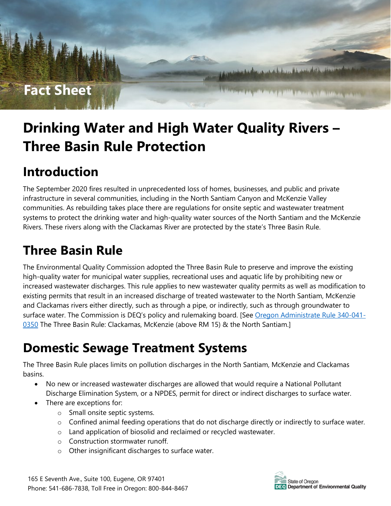#### **Fact Sheet**

Willy

# **Drinking Water and High Water Quality Rivers – Three Basin Rule Protection**

I de constituidade de acelhora, a a que a de diversa de la de característica de la característica de la característica

The Property of the County of the County

#### **Introduction**

The September 2020 fires resulted in unprecedented loss of homes, businesses, and public and private infrastructure in several communities, including in the North Santiam Canyon and McKenzie Valley communities. As rebuilding takes place there are regulations for onsite septic and wastewater treatment systems to protect the drinking water and high-quality water sources of the North Santiam and the McKenzie Rivers. These rivers along with the Clackamas River are protected by the state's Three Basin Rule.

### **Three Basin Rule**

The Environmental Quality Commission adopted the Three Basin Rule to preserve and improve the existing high-quality water for municipal water supplies, recreational uses and aquatic life by prohibiting new or increased wastewater discharges. This rule applies to new wastewater quality permits as well as modification to existing permits that result in an increased discharge of treated wastewater to the North Santiam, McKenzie and Clackamas rivers either directly, such as through a pipe, or indirectly, such as through groundwater to surface water. The Commission is DEQ's policy and rulemaking board. [See [Oregon Administrate Rule 340-041-](https://secure.sos.state.or.us/oard/viewSingleRule.action?ruleVrsnRsn=68965) [0350](https://secure.sos.state.or.us/oard/viewSingleRule.action?ruleVrsnRsn=68965) The Three Basin Rule: Clackamas, McKenzie (above RM 15) & the North Santiam.]

### **Domestic Sewage Treatment Systems**

The Three Basin Rule places limits on pollution discharges in the North Santiam, McKenzie and Clackamas basins.

- No new or increased wastewater discharges are allowed that would require a National Pollutant Discharge Elimination System, or a NPDES, permit for direct or indirect discharges to surface water.
- There are exceptions for:
	- o Small onsite septic systems.
	- o Confined animal feeding operations that do not discharge directly or indirectly to surface water.
	- o Land application of biosolid and reclaimed or recycled wastewater.
	- o Construction stormwater runoff.
	- o Other insignificant discharges to surface water.

165 E Seventh Ave., Suite 100, Eugene, OR 97401 Phone: 541-686-7838, Toll Free in Oregon: 800-844-8467